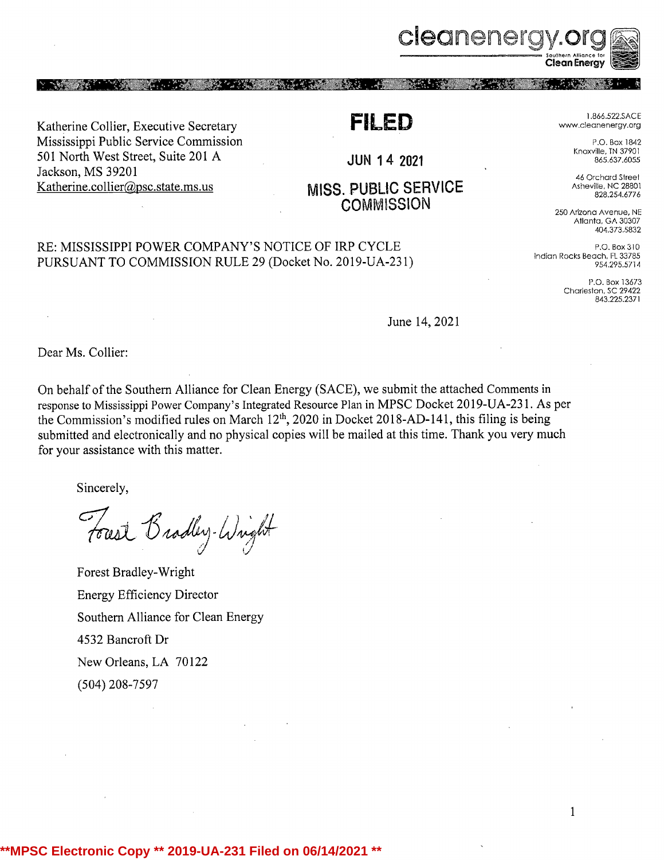Katherine Collier, Executive Secretary Mississippi Public Service Commission **P.O. Box 1842** P.O. Box 1842 501 North West Street, Suite 201 A JUN 14 2021 Jackson, MS 39201 Katherine.collier@psc.state.ms.us MISS. PUBLIC SERVICE

RE: MISSISSIPPI POWER COMPANY'S NOTICE OF IRP CYCLE P,O. Box 310<br>
NOTICE AND COLORATION IN THE COMPANY OF ALL AND COLORATION IN A 211 PURSUANT TO COMMISSION RULE 29 (Docket No. 2019-UA-231)

June 14, 2021

Dear Ms. Collier:

On behalf of the Southern Alliance for Clean Energy (SACE), we submit the attached Comments in response to Mississippi Power Company's Integrated Resource Plan in MPSC Docket 2019-UA-231. As per the Commission's modified rules on March 12<sup>th</sup>, 2020 in Docket 2018-AD-141, this filing is being submitted and electronically and no physical copies will be mailed at this time. Thank you very much for your assistance with this matter.

Sincerely,

Fourt Bradley-Wright

Forest Bradley-Wright Energy EfficiencyDirector Southern Alliance for Clean Energy 4532 Bancroft Dr New Orleans, LA 70122 (504) 208-7597



Knoxville, TN 37901<br>865.637.6055

46 Orchard Street<br>Asheville, NC 28801 EXPLASION 250 Arizona Avenue, NE<br>COMMISSION 250 Arizona Avenue, NE

Atlanta, GA 30307 404.373.5832

1

P.O. Box 13673 Charleston, SC 29422 843.225.2371

cleanenerg Southern Alliance fo

an Energy

RESERVED FOR THE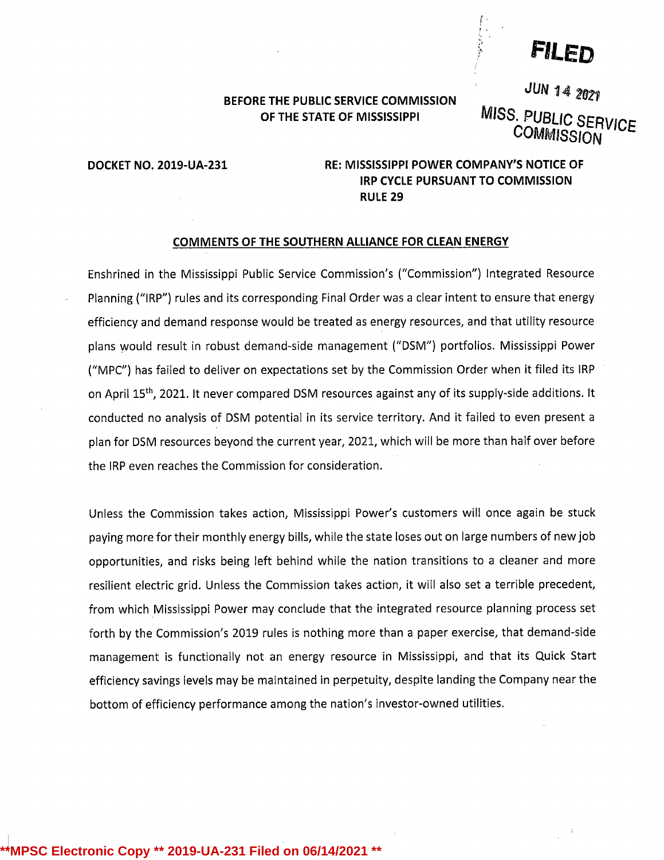FILED

# BEFORE THE PUBLIC SERVICE COMMISSION

**JUN 14 2021** OF THE STATE OF MISSISSIPPI MISS. PUBLIC SERVICE **COMMISSION** 

DOCKETNO. 2019-UA-231 RE: MISSISSIPPI POWER COMPANY'S NOTICE OF IRP CYCLE PURSUANT TO COMMISSION RULE 29

#### COMMENTS OF THE SOUTHERN ALLIANCE FOR CLEAN ENERGY

Enshrined in the Mississippi Public Service Commission's ("Commission") Integrated Resource Planning ("lRP") rules and its corresponding Final Order was <sup>a</sup> clear intent to ensure that energy efficiency and demand response would be treated as energy resources, and that utility resource plans would result in robust demand-side management ("DSM") portfolios. Mississippi Power ("MPC") has failed to deliver on expectations set by the Commission Order when it filed its IRP on April 15<sup>th</sup>, 2021. It never compared DSM resources against any of its supply-side additions. It conducted no analysis of DSM potential in its service territory. And it failed to even present <sup>a</sup> plan for DSM resources beyond the current year, 2021, which will be more than half over before the IRP even reaches the commission for consideration.

Unless the Commission takes action, Mississippi Power's customers will once again be stuck paying more for their monthly energy bills, while the state loses out on large numbers of new job opportunities, and risks being left behind while the nation transitions to <sup>a</sup> cleaner and more resilient electric grid. Unless the Commission takes action, it will also set <sup>a</sup> terrible precedent, from which Mississippi Power may conclude that the integrated resource planning process set forth by the Commission's 2019 rules is nothing more than <sup>a</sup> paper exercise, that demand-side management is functionally not an energy resource in Mississippi, and that its Quick Start efficiency savings levels may be maintained in perpetuity, despite landing the Company near the bottom of efficiency performance among the nation's investor-owned utilities.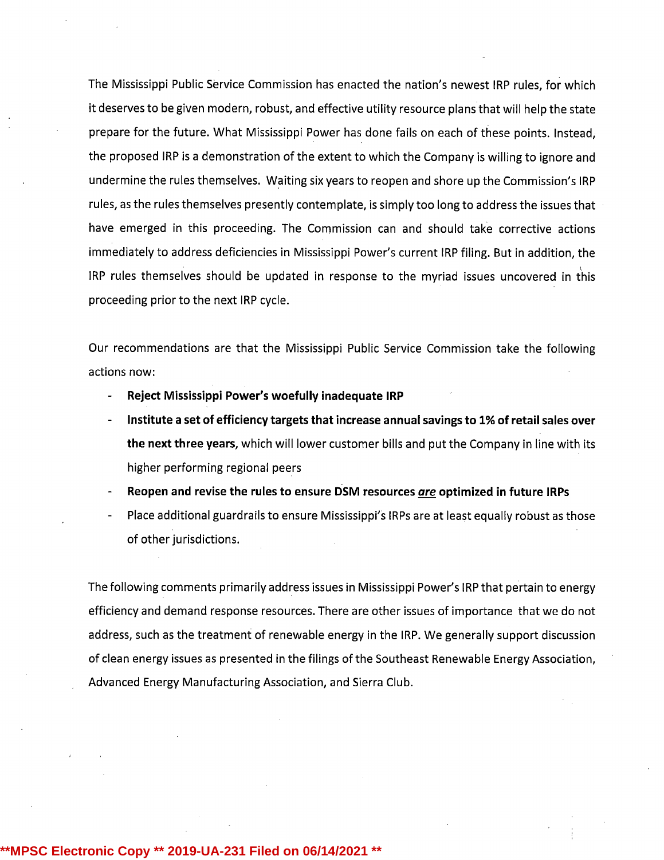The Mississippi Public Service Commission has enacted the nation's newest IRP rules, for which it deserves to be given modern, robust, and effective utility resource plans that will help the state prepare for the future. What Mississippi Power has done fails on each of these points. Instead, the proposed IRP is a demonstration of the extent to which the Company is willing to ignore and undermine the rules themselves. Waiting six years to reopen and shore up the Commission's IRP rules, as the rules themselves presently contemplate, is simply too long to address the issues that have emerged in this proceeding. The Commission can and should take corrective actions immediately to address deficiencies in Mississippi Power's current IRP filing. But in addition, the IRP rules themselves should be updated in response to the myriad issues uncovered in this proceeding prior to the next IRP cycle.

Our recommendations are that the Mississippi Public Service Commission take the following actions now:

- Reject Mississippi Power's woefully inadequate IRP
- Institute <sup>a</sup> set of efficiency targets that increase annual savings to 1% of retail sales over the next three years, which will lower customer bills and put the Company in line with its higher performing regional peers
- Reopen and revise the rules to ensure DSM resources are optimized in future IRPs
- Place additional guardrails to ensure Mississippi's IRPs are at least equally robust as those of other jurisdictions.

The following comments primarily address issues in Mississippi Power's IRP that pertain to energy efficiency and demand response resources. There are other issues of importance that we do not address, such as the treatment of renewable energy in the IRP. We generally support discussion of clean energy issues as presented in the filings of the Southeast Renewable Energy Association, Advanced Energy Manufacturing Association, and Sierra Club.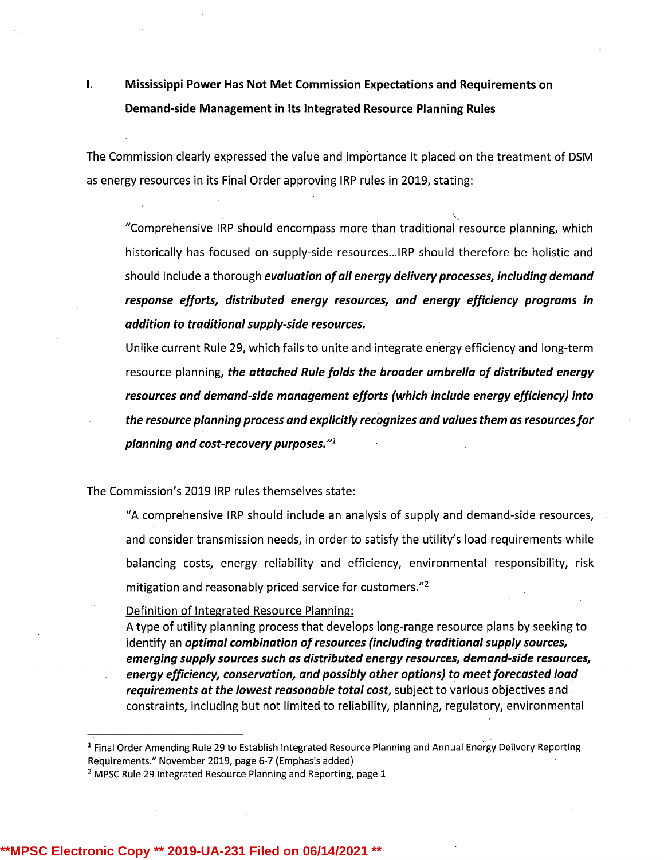I. Mississippi Power Has Not Met Commission Expectations and Requirements on Demand-side Management in Its Integrated Resource Planning Rules

The Commission clearly expressed the value and importance it placed on the treatment of DSM as energy resources in its Final Order approving IRP rules in 2019, stating:

"Comprehensive IRP should encompass more than traditional resource planning, which historically has focused on supply-side resources...lRP should therefore be holistic and should include a thorough evaluation of all energy delivery processes, including demand response efforts, distributed energy resources, and energy efficiency programs in addition to traditional supply-side resources.

Unlike current Rule 29, which fails to unite and integrate energy efficiency and long-term resource planning, the attached Rule folds the broader umbrella of distributed energy resources and demand-side management efforts (which include energy efficiency) into the resource planning process and explicitly recognizes and values them as resources for planning and cost-recovery purposes. $"^{1}$ 

The Commission's 2019 IRP rules themselves state:

"A comprehensive IRP should include an analysis of supply and demand-side resources, and consider transmission needs, in order to satisfy the utility's load requirements while balancing costs, energy reliability and efficiency, environmental responsibility, risk mitigation and reasonably priced service for customers."<sup>2</sup>

Definition of Integrated Resource Planning:

<sup>A</sup> type of utility planning process that develops long-range resource plans by seeking to identify an optimal combination of resources (including traditional supply sources, emerging supplysources such as distributed energy resources, demand-side resources, energy efficiency, conservation, and possibly other options) to meet forecasted load requirements at the lowest reasonable total cost, subject to various objectives and  $\overline{\text{I}}$ constraints, including but not limited to reliability, planning, regulatory, environmental

<sup>&</sup>lt;sup>1</sup> Final Order Amending Rule 29 to Establish Integrated Resource Planning and Annual Energy Delivery Reporting Requirements." November 2019, page 6-7 (Emphasis added)

<sup>2</sup> MPSC Rule 29 Integrated Resource Planning and Reporting, page <sup>1</sup>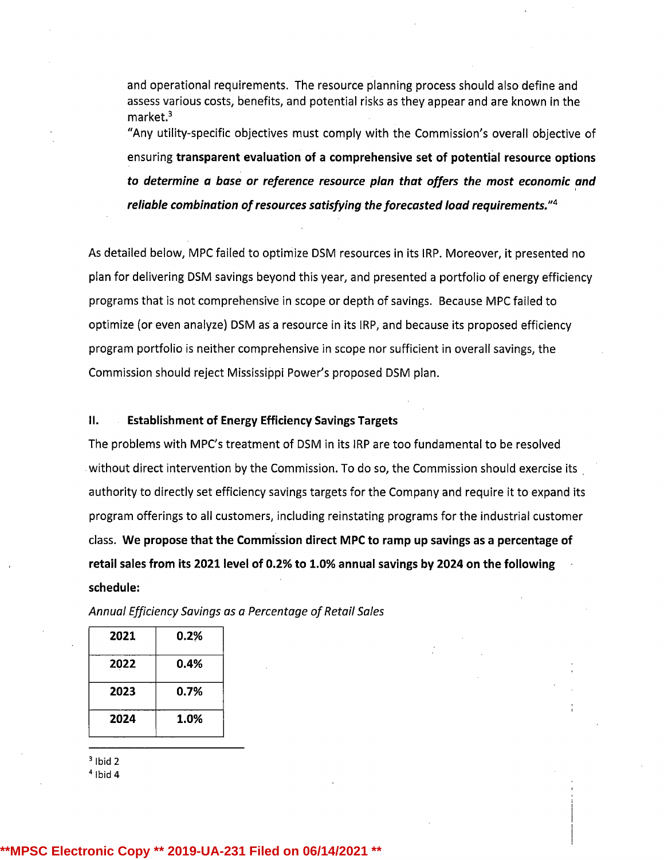and operational requirements. The resource planning process should also define and assess various costs, benefits, and potential risks as they appear and are known in the market.3

"Any utility-specific objectives must comply with the Commission's overall objective of ensuring transparent evaluation of a comprehensive set of potential resource options to determine <sup>a</sup> base or reference resource plan that offers the most economic and reliable combination of resources satisfying the forecasted load requirements." $4$ 

As detailed below, MPC failed to optimize DSM resources in its IRP. Moreover, it presented no plan for delivering DSM savings beyond this year, and presented <sup>a</sup> portfolio of energy efficiency programs that is not comprehensive in scope or depth of savings. Because MPC failed to optimize (or even analyze) DSM as <sup>a</sup> resource in its IRP, and because its proposed efficiency program portfolio is neither comprehensive in scope nor sufficient in overall savings, the Commission should reject Mississippi Power's proposed DSM plan.

#### II. Establishment of Energy Efficiency Savings Targets

The problems with MPC's treatment of DSM in its IRP are too fundamental to be resolved without direct intervention by the Commission. To do so, the Commission should exercise its authority to directly set efficiency savings targets for the Company and require it to expand its program offerings to all customers, including reinstating programs for the industrial customer class. We propose that the Commission direct MPC to ramp up savings as a percentage of retail sales from its 2021 level of 0.2% to 1.0% annual savings by 2024 on the following schedule:

| 2021 | 0.2% |
|------|------|
| 2022 | 0.4% |
| 2023 | 0.7% |
| 2024 | 1.0% |

Annual Efficiency Savings as <sup>a</sup> Percentage of Retail Sales

3 Ibid 2

4 Ibid 4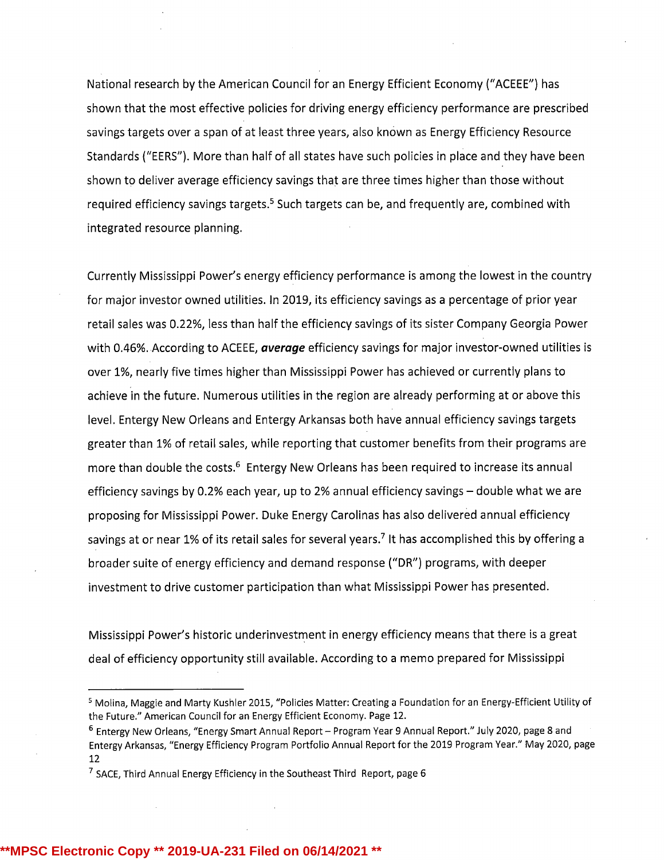National research by the American Council for an Energy Efficient Economy ("ACEEE") has shown that the most effective policies for driving energy efficiency performance are prescribed savings targets over <sup>a</sup> span of at least three years, also known as Energy Efficiency Resource Standards ("EERS"). More than half of all states have such policies in place and they have been shown to deliver average efficiency savings that are three times higher than those without required efficiency savings targets.<sup>5</sup> Such targets can be, and frequently are, combined with integrated resource planning.

Currently Mississippi Power's energy efficiency performance is among the lowest in the country for major investor owned utilities. In 2019, its efficiency savings as <sup>a</sup> percentage of prior year retail sales was 0.22%, less than half the efficiency savings of its sister Company Georgia Power with 0.46%. According to ACEEE, average efficiency savings for major investor-owned utilities is over 1%, nearly five times higher than Mississippi Power has achieved or currently plans to achieve in the future. Numerous utilities in the region are already performing at or above this level. Entergy New Orleans and Entergy Arkansas both have annual efficiency savings targets greater than 1% of retail sales, while reporting that customer benefits from their programs are more than double the costs.<sup>6</sup> Entergy New Orleans has been required to increase its annual efficiency savings by 0.2% each year, up to 2% annual efficiency savings - double what we are proposing for Mississippi Power. Duke Energy Carolinas has also delivered annual efficiency savings at or near 1% of its retail sales for several years.<sup>7</sup> It has accomplished this by offering a broader suite of energy efficiency and demand response ("DR") programs, with deeper investment to drive customer participation than what Mississippi Power has presented.

Mississippi Power's historic underinvestment in energy efficiency means that there is <sup>a</sup> great deal of efficiency opportunity still available. According to a memo prepared for Mississippi

<sup>s</sup> Molina, Maggie and Marty Kushler 2015, "Policies Matter: Creating <sup>a</sup> Foundation for an Energy-Efficient Utility of the Future." American Council for an Energy Efficient Economy. Page 12.

<sup>&</sup>lt;sup>6</sup> Entergy New Orleans, "Energy Smart Annual Report – Program Year 9 Annual Report." July 2020, page 8 anc Entergy Arkansas, "Energy Efficiency Program Portfolio Annual Report for the 2019 Program Year." May 2020, page 12

Y SACE, Third Annual Energy Efficiency in the Southeast Third Report, page 6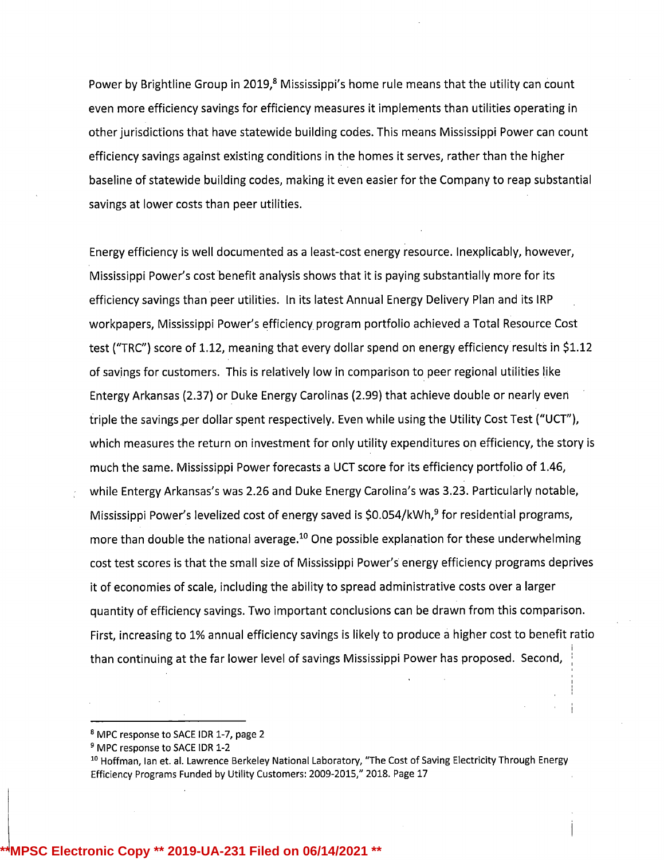Power by Brightline Group in 2019,<sup>8</sup> Mississippi's home rule means that the utility can count even more efficiency savings for efficiency measures it implements than utilities operating in other jurisdictions that have statewide building codes. This means Mississippi Power can count efficiency savings against existing conditions in the homes it serves, rather than the higher baseline of statewide building codes, making it even easier for the Company to reap substantial savings at lower costs than peer utilities.

Energy efficiency is well documented as <sup>a</sup> least-cost energy resource. Inexplicably, however, Mississippi Power's cost benefit analysis shows that it is paying substantiallymore for its efficiency savings than peer utilities. In its latest Annual Energy Delivery Plan and its IRP workpapers, Mississippi Power's efficiency program portfolio achieved <sup>a</sup> Total Resource Cost test ("TRC") score of 1.12, meaning that every dollar spend on energy efficiency results in \$1.12 of savings for customers. This is relatively low in comparison to peer regional utilities like Entergy Arkansas (2.37) or Duke Energy Carolinas (2.99) that achieve double or nearly evert triple the savings per dollar spent respectively. Even while using the Utility Cost Test ("UCT"), which measures the return on investment for only utility expenditures on efficiency, the story is much the same. Mississippi Power forecasts <sup>a</sup> UCT score for its efficiency portfolio of 1.46, while Entergy Arkansas's was 2.26 and Duke Energy Carolina's was 3.23. Particularly notable, Mississippi Power's levelized cost of energy saved is \$0.054/kWh,<sup>9</sup> for residential programs, more than double the national average.<sup>10</sup> One possible explanation for these underwhelming cost test scores is that the small size of Mississippi Power's energy efficiency programs deprives it of economies of scale, including the ability to spread administrative costs over <sup>a</sup> larger quantityof efficiency savings. Two important conclusions can be drawn from this comparison. First, increasing to 1% annual efficiency savings is likely to produce <sup>a</sup> higher cost to benefit ratio than continuing at the far lower level of savings Mississippi Power has proposed. Second,

<sup>6</sup> MPC response to SACE IDR 1-7, page <sup>2</sup>

<sup>&</sup>lt;sup>9</sup> MPC response to SACE IDR 1-2

<sup>10</sup> Hoffman, Ian et. al. Lawrence Berkeley National Laboratory, "The Cost of Saving Electricity Through Energy Efficiency Programs Funded by Utility Customers: 2009-2015," 2018. Page 17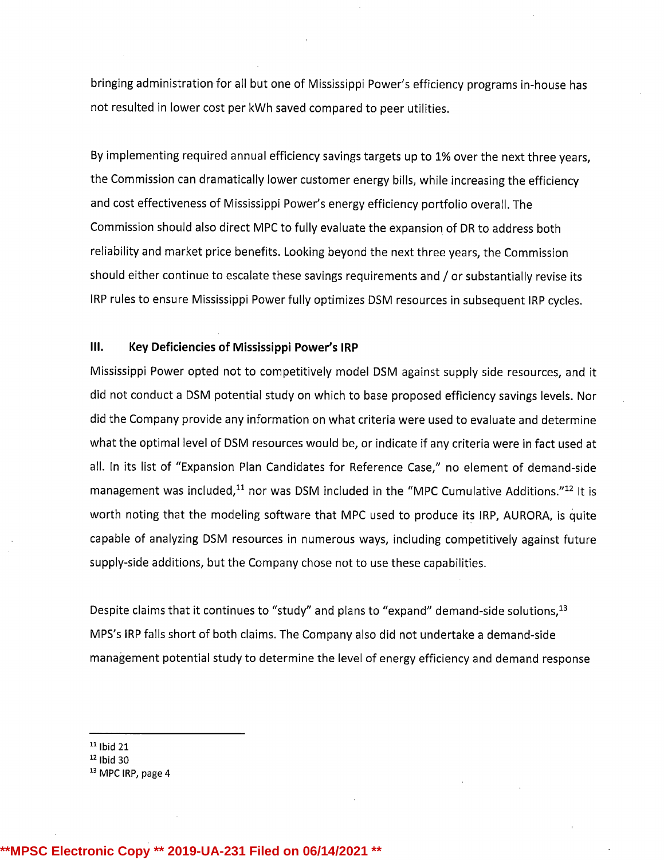bringing administration for all but one of Mississippi Power's efficiency programs in-house has not resulted in lower cost per kWh saved compared to peer utilities.

By implementing required annual efficiency savings targets up to 1% over the next three years, the Commission can dramatically lower customer energy bills, while increasing the efficiency and cost effectiveness of Mississippi Power's energy efficiency portfolio overall. The Commission should also direct MPC to fully evaluate the expansion of DR to address both reliability and market price benefits. Looking beyond the next three years, the Commission should either continue to escalate these savings requirements and / or substantially revise its IRP rules to ensure Mississippi Power fully optimizes DSM resources in subsequent IRP cycles.

### III. Key Deficiencies of Mississippi Power's IRP

Mississippi Power opted not to competitivelymodel DSM against supply side resources, and it did not conduct <sup>a</sup> DSM potential study on which to base proposed efficiency savings levels. Nor did the Company provide any information on what criteria were used to evaluate and determine what the optimal level of DSM resources would be, or indicate if any criteria were in fact used at all. In its list of "Expansion Plan Candidates for Reference Case," no element of demand-side management was included, $11$  nor was DSM included in the "MPC Cumulative Additions." $12$  It is worth noting that the modeling software that MPC used to produce its IRP, AURORA, is quite capable of analyzing DSM resources in numerous ways, including competitively against future supply-side additions, but the Company chose not to use these capabilities.

Despite claims that it continues to "study" and plans to "expand" demand-side solutions,<sup>13</sup> MPS's IRP falls short of both claims. The Company also did not undertake <sup>a</sup> demand-side management potential study to determine the level of energy efficiency and demand response

 $11$  Ibid 21

<sup>12</sup> Ibid 30

**MPSC Electronic Copy \*\* 2019-UA-231 Filed on 06/14/20** 

<sup>&</sup>lt;sup>13</sup> MPC IRP, page 4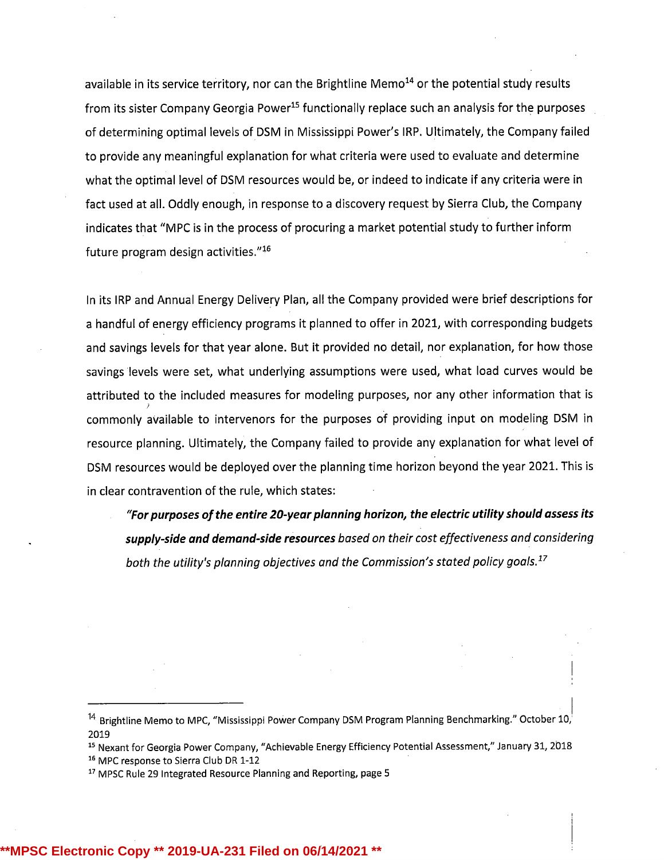available in its service territory, nor can the Brightline Memo<sup>14</sup> or the potential study results from its sister Company Georgia Power<sup>15</sup> functionally replace such an analysis for the purposes of determining optimal levels of DSM in Mississippi Power's IRP. Ultimately, the Company failed to provide any meaningful explanation for what criteria were used to evaluate and determine what the optimal level of DSM resources would be, or indeed to indicate if any criteria were in fact used at all. Oddly enough, in response to <sup>a</sup> discovery request by Sierra Club, the Company indicates that "MPC is in the process of procuring <sup>a</sup> market potential study to further inform future program design activities. $"16$ 

In its IRP and Annual Energy Delivery Plan, all the Company provided were brief descriptions for <sup>a</sup> handful of energy efficiency programs it planned to offer in 2021, with corresponding budgets and savings levels for that year alone. But it provided no detail, nor explanation, for how those savings levels were set, what underlying assumptions were used, what load curves would be attributed to the included measures for modeling purposes, nor any other information that is commonly available to intervenors for the purposes of providing input on modeling DSM in resource planning. Ultimately, the Company failed to provide any explanation for what level of DSM resources would be deployed over the planning time horizon beyond the year 2021. This is in clear contravention of the rule, which states:

"For purposes of the entire 20-year planning horizon, the electric utility should assess its supply-side and demand-side resources based on their cost effectiveness and considering both the utility's planning objectives and the Commission's stated policy goals.<sup>17</sup>

<sup>&</sup>lt;sup>14</sup> Brightline Memo to MPC, "Mississippi Power Company DSM Program Planning Benchmarking." October 10, 2019

<sup>&</sup>lt;sup>15</sup> Nexant for Georgia Power Company, "Achievable Energy Efficiency Potential Assessment," January 31, 2018 <sup>16</sup> MPC response to Sierra Club DR 1-12

<sup>&</sup>lt;sup>17</sup> MPSC Rule 29 Integrated Resource Planning and Reporting, page 5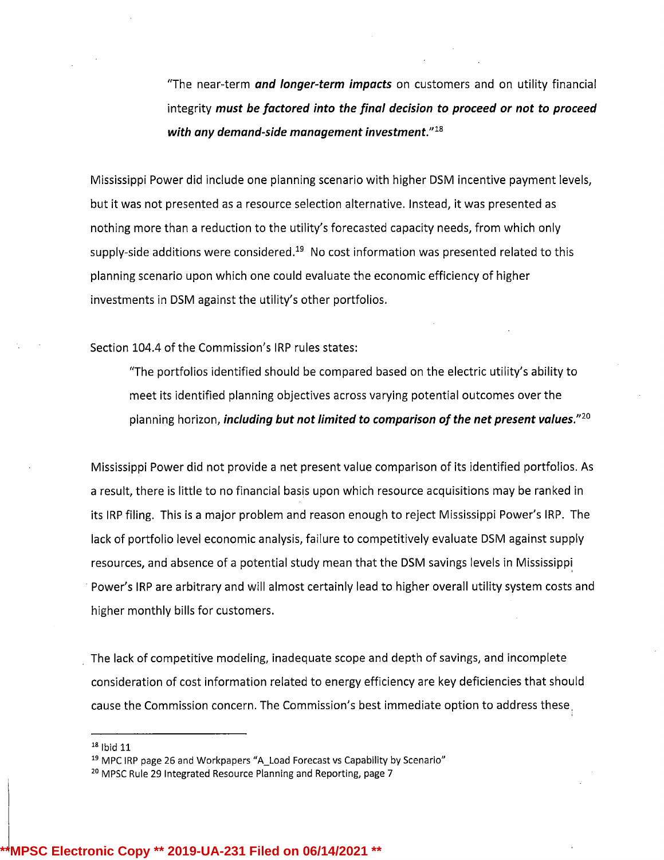"The near-term and longer-term impacts on customers and on utility financial integrity must be factored into the final decision to proceed or not to proceed with any demand-side management investment." $18$ 

Mississippi Power did include one planning scenario with higher DSM incentive payment levels, but it was not presented as <sup>a</sup> resource selection alternative. Instead, it was presented as nothing more than <sup>a</sup> reduction to the utility's forecasted capacity needs, from which only supply-side additions were considered.<sup>19</sup> No cost information was presented related to this planning scenario upon which one could evaluate the economic efficiency of higher investments in DSM against the utility's other portfolios.

Section 104.4 of the Commission's IRP rules states:

"The portfolios identified should be compared based on the electric utility's ability to meet its identified planning objectives across varying potential outcomes over the planning horizon, including but not limited to comparison of the net present values."<sup>20</sup>

Mississippi Power did not provide <sup>a</sup> net present value comparison of its identified portfolios. As <sup>a</sup> result, there is little to no financial basis upon which resource acquisitions may be ranked in its IRP filing. This is <sup>a</sup> major problem and reason enough to reject Mississippi Power's IRP. The lack of portfolio level economic analysis, failure to competitively evaluate DSM against supply resources, and absence of <sup>a</sup> potential study mean that the DSM savings levels in Mississippi Power's IRP are arbitrary and will almost certainly lead to higher overall utility system costs and higher monthly bills for customers.

The lack of competitive modeling, inadequate scope and depth of savings, and incomplete consideration of cost information related to energy efficiency are key deficiencies that should cause the commission concern. The Commission's best immediate option to address these

 $18$  Ibid 11

<sup>19</sup> MPC IRP page 26 and Workpapers "A\_Load Forecast vs Capability by Scenario"

<sup>20</sup> MPSC Rule 29 Integrated Resource Planning and Reporting, page 7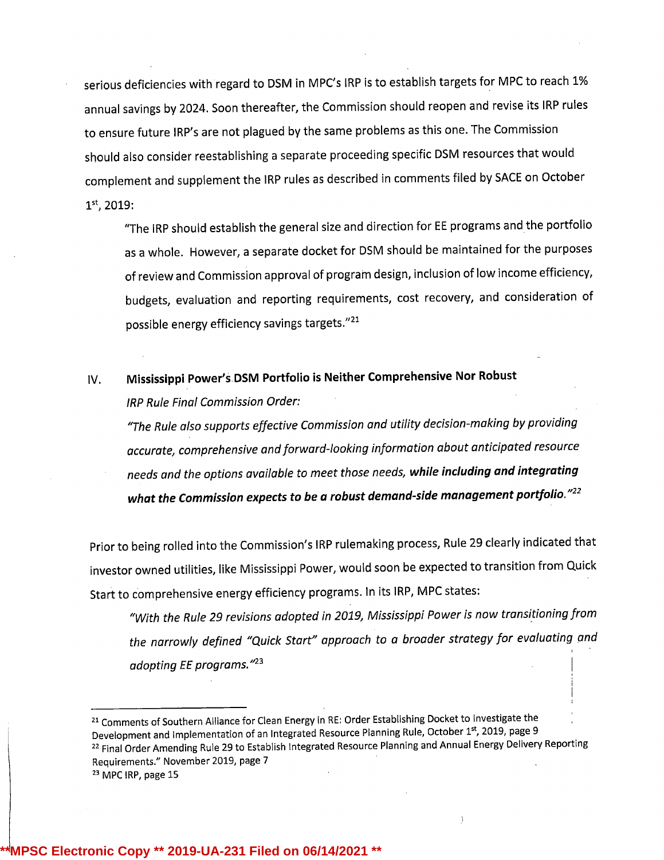serious deficiencies with regard to DSM in MPC's IRP is to establish targets for MPC to reach 1% annual savings by 2024. Soon thereafter, the Commission should reopen and revise its IRP rules to ensure future IRP's are not plagued by the same problems as this one. The Commission should also consider reestablishing <sup>a</sup> separate proceeding specific DSM resources that would complement and supplement the IRP rules as described in comments filed by SACE on October 1st, 2019:

"The IRP should establish the general size and direction for EE programs and the portfolio as <sup>a</sup> whole. However, <sup>a</sup> separate docket for DSM should be maintained for the purposes of review and Commission approval of program design, inclusion of low income efficiency, budgets, evaluation and reporting requirements, cost recovery, and consideration of possible energy efficiency savings targets."21

## IV. Mississippi Power's DSM Portfolio is Neither Comprehensive Nor Robust IRP Rule Final Commission Order:

"The Rule also supports effective Commission and utility decision-making by providing accurate, comprehensive and forward-looking information about anticipated resource needs and the options available to meet those needs, while including and integrating what the Commission expects to be a robust demand-side management portfolio." $^{22}$ 

Prior to being rolled into the Commission's IRP rulemaking process, Rule <sup>29</sup> clearly indicated that investor owned utilities, like Mississippi Power, would soon be expected to transition from Quick Start to comprehensive energy efficiency programs. In its IRP, MPC states:

"With the Rule 29 revisions adopted in 2019, Mississippi Power is now transitioning from the narrowly defined "Quick Start" approach to a broader strategy for evaluating and adopting EE programs."23

<sup>&</sup>lt;sup>21</sup> Comments of Southern Alliance for Clean Energy in RE: Order Establishing Docket to Investigate the Development and Implementation of an Integrated Resource Planning Rule, October 1st, 2019, page 9 <sup>22</sup> Final Order Amending Rule 29 to Establish Integrated Resource Planning and Annual Energy Delivery Reporting Requirements." November 2019, page 7 <sup>23</sup> MPC IRP, page 15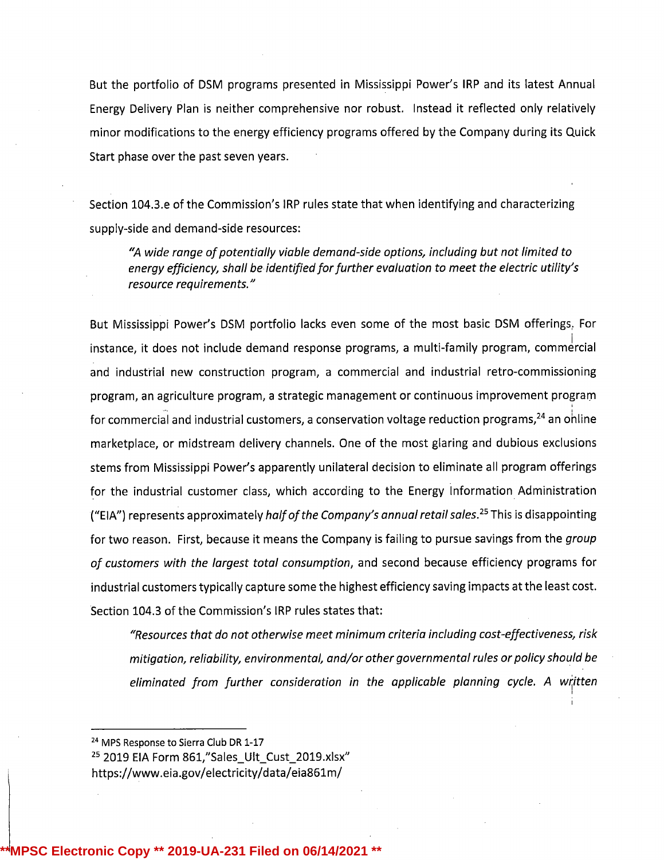But the portfolio of DSM programs presented in Mississippi Power's IRP and its latest Annual Energy Delivery Plan is neither comprehensive nor robust. Instead it reflected only relatively minor modifications to the energy efficiency programs offered by the Company during its Quick Start phase over the past seven years.

Section 104.3.e of the Commission's IRP rules state that when identifying and characterizing supply-side and demand-side resources:

"A wide range of potentially viable demand-side options, including but not limited to energy efficiency, shall be identified for further evaluation to meet the electric utility's resource requirements."

But Mississippi Power's DSM portfolio lacks even some of the most basic DSM offerings. For instance, it does not include demand response programs, <sup>a</sup> multi-family program, commercial and industrial new construction program, <sup>a</sup> commercial and industrial retro-commissioning program, an agriculture program, a strategic management or continuous improvement program for commercial and industrial customers, a conservation voltage reduction programs,<sup>24</sup> an online marketplace, or midstream delivery channels. One of the most glaring and dubious exclusions stems from Mississippi Power's apparently unilateral decision to eliminate all program offerings for the industrial customer class, which according to the Energy Information Administration ("EIA") represents approximately half of the Company's annual retail sales.<sup>25</sup> This is disappointing for two reason. First, because it means the Company is failing to pursue savings from the group of customers with the largest total consumption, and second because efficiency programs for industrial customers typically capture some the highest efficiency saving impacts at the least cost. Section 104.3 of the Commission's IRP rules states that:

"Resources that do not otherwise meet minimum criteria including cost-effectiveness, risk mitigation, reliability, environmental, and/or other governmental rules or policy should be eliminated from further consideration in the applicable planning cycle. A written

<sup>24</sup> MPS Response to Sierra Club DR 1-17

<sup>25</sup> 2019 EIA Form 861,"Sales\_Ult\_Cust\_2019.xisx" https://www.eia.gov/electricity/data/eia861m/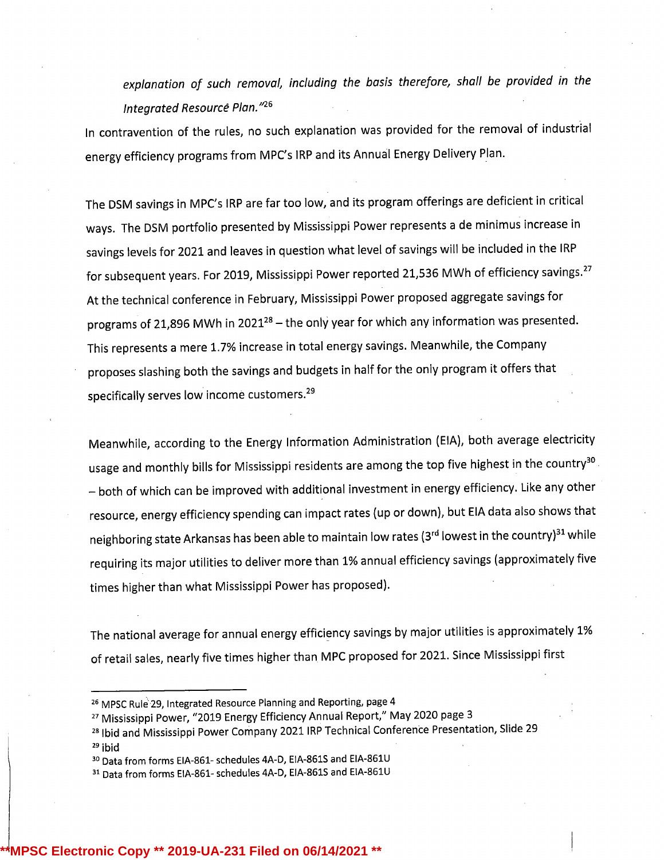explanation of such removal, including the basis therefore, shall be provided in the Integrated Resourcé Plan."<sup>26</sup>

In contravention of the rules, no such explanation was provided for the removal of industrial energy efficiency programs from MPC's IRP and its Annual Energy Delivery Plan.

The DSM savings in MPC's IRP are far too low, and its program offerings are deficient in critical ways. The DSM portfolio presented by Mississippi Power represents <sup>a</sup> de minimus increase in savings levels for <sup>2021</sup> and leaves in question what level of savings will be included in the IRP for subsequent years. For 2019, Mississippi Power reported 21,536 MWh of efficiency savings.27 At the technical conference in February, Mississippi Power proposed aggregate savings for programs of 21,896 MWh in 2021<sup>28</sup> – the only year for which any information was presented. This represents <sup>a</sup> mere 1.7% increase in total energy savings. Meanwhile, the Company proposes slashing both the savings and budgets in half for the only program it offers that specifically serves low income customers.<sup>29</sup>

Meanwhile, according to the Energy Information Administration (EIA), both average electricity usage and monthly bills for Mississippi residents are among the top five highest in the country<sup>30</sup> - both of which can be improved with additional investment in energy efficiency. Like any other resource, energy efficiency spending can impact rates (up or down), but EIA data also shows that neighboring state Arkansas has been able to maintain low rates (3<sup>rd</sup> lowest in the country)<sup>31</sup> while requiring its major utilities to deliver more than 1% annual efficiency savings (approximately five times higher than what Mississippi Power has proposed).

The national average for annual energy efficiency savings by major utilities is approximately 1% of retail sales, nearly five times higher than MPC proposed for 2021. Since Mississippi first

\

**\*\*MPSC Electronic Copy \*\* 2019-UA-231 Filed on 06/14/2021 \*\***

<sup>&</sup>lt;sup>26</sup> MPSC Rule 29, Integrated Resource Planning and Reporting, page 4

<sup>&</sup>lt;sup>27</sup> Mississippi Power, "2019 Energy Efficiency Annual Report," May 2020 page 3

<sup>28</sup> lbid and Mississippi Power Company 2021 IRP Technical Conference Presentation, Slide <sup>29</sup>

<sup>29</sup> ibid

<sup>30</sup> Data from forms EIA-861- schedules 4A-D, ElA-861S and EIA-861U

<sup>&</sup>lt;sup>31</sup> Data from forms EIA-861- schedules 4A-D, EIA-861S and EIA-861U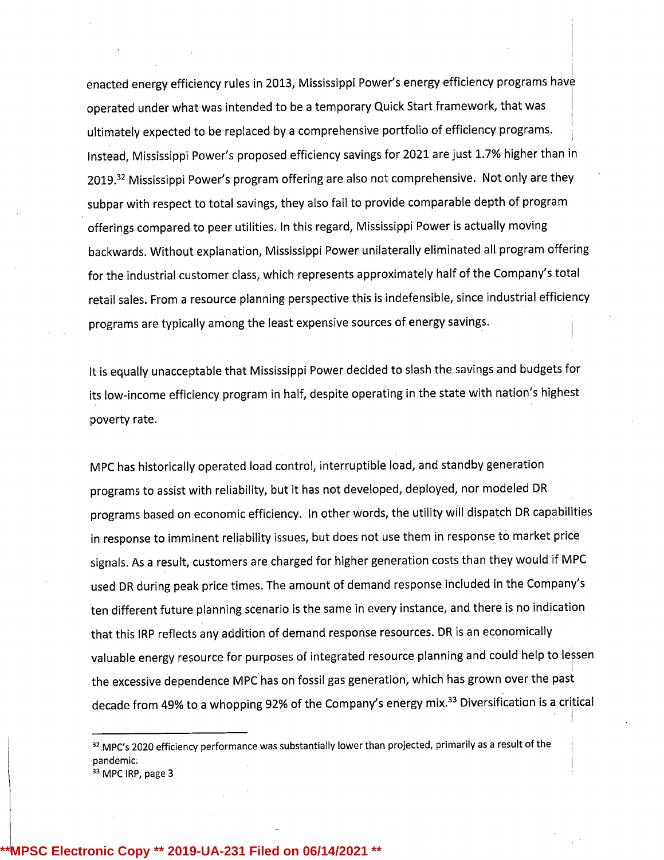enacted energy efficiency rules in 2013, Mississippi Power's energy efficiency programs have operated under what was intended to be <sup>a</sup> temporaryQuick Start framework, that was ultimately expected to be replaced by a comprehensive portfolio of efficiency programs. Instead, Mississippi Power's proposed efficiency savings for 2021are just 1.7% higher than in 2019.32 Mississippi Power's program offering are also not comprehensive. Not only are they subpar with respect to total savings, they also fail to provide comparable depth of program offerings compared to peer utilities. In this regard, Mississippi Power is actually moving backwards. Without explanation, Mississippi Power unilaterallyeliminated all program offering for the industrial customer class, which represents approximately half of the Company's total retail sales. From <sup>a</sup> resource planning perspective this is indefensible, since industrial efficiency programs are typically among the least expensive sources of energy savings.

It is equally unacceptable that Mississippi Power decided to slash the savings and budgets for its low-income efficiency program in half, despite operating in the state with nation's highest poverty rate.

MPC has historically operated load control, interruptible load, and standby generation programs to assist with reliability, but it has not developed, deployed, nor modeled DR programs based on economic efficiency. In other words, the utility will dispatch DR capabilities in response to imminent reliability issues, but does not use them in response to market price signals. As <sup>a</sup> result, customers are charged for higher generation costs than they would if MPC used DR during peak price times. The amount of demand response included in the Company's ten different future planning scenario is the same in every instance, and there is no indication that this IRP reflects any addition of demand response resources. DR is an economically valuable energy resource for purposes of integrated resource planning and could help to lessen the excessive dependence MPC has on fossil gas generation, which has grown over the past decade from 49% to a whopping 92% of the Company's energy mix.<sup>33</sup> Diversification is a critical

**MPSC Electronic Copy \*\* 2019-UA-231 Filed on 06/14/2** 

<sup>&</sup>lt;sup>32</sup> MPC's 2020 efficiency performance was substantially lower than projected, primarily as a result of the pandemic.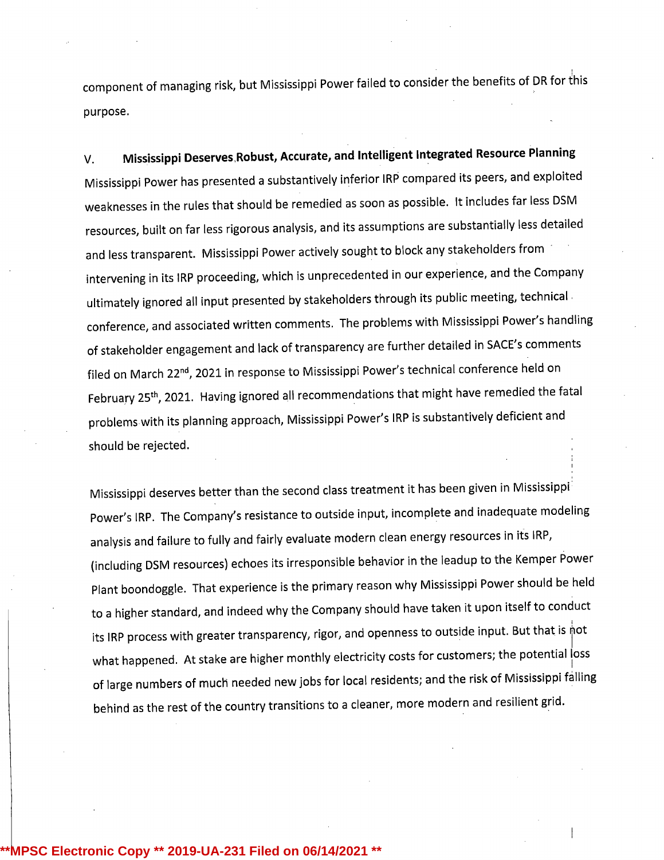component of managing risk, but Mississippi Power failed to consider the benefits of DR for this purpose.

V. Mississippi Deserves Robust, Accurate, and Intelligent Integrated Resource Planning Mississippi Power has presented <sup>a</sup> substantively inferior IRP compared its peers, and exploited weaknesses in the rules that should be remedied as soon as possible. It includes far less DSM resources, built on far less rigorous analysis, and its assumptions are substantially less detailed and less transparent. Mississippi Power actively sought to block any stakeholders from intervening in its IRP proceeding, which is unprecedented in our experience, and the Company ultimately ignored all input presented by stakeholders through its public meeting, technical , conference, and associated written comments. The problems with Mississippi Power's handling of stakeholder engagement and lack of transparency are further detailed in SACE's comments filed on March 22<sup>nd</sup>, 2021 in response to Mississippi Power's technical conference held on February 25<sup>th</sup>, 2021. Having ignored all recommendations that might have remedied the fatal problems with its planning approach, Mississippi Power's IRP is substantively deficient and should be rejected.

Mississippi deserves better than the second class treatment it has been given in Mississippi Power's IRP. The Company's resistance to outside input, incomplete and inadequate modeling analysis and failure to fully and fairly evaluate modern clean energy resources in its IRP, (including DSM resources) echoes its irresponsible behavior in the leadup to the Kemper Power Plant boondoggle. That experience is the primary reason why Mississippi Power should be held to a higher standard, and indeed why the Company should have taken it upon itself to conduct its IRP process with greater transparency, rigor, and openness to outside input. But that is not what happened. At stake are higher monthly electricity costs for customers; the potential los of large numbers of much needed new jobs for local residents; and the risk of Mississippi falling behind as the rest of the country transitions to a cleaner, more modern and resilient grid.

**SC Electronic Copy \*\* 2019-UA-231 Filed on 06/14**